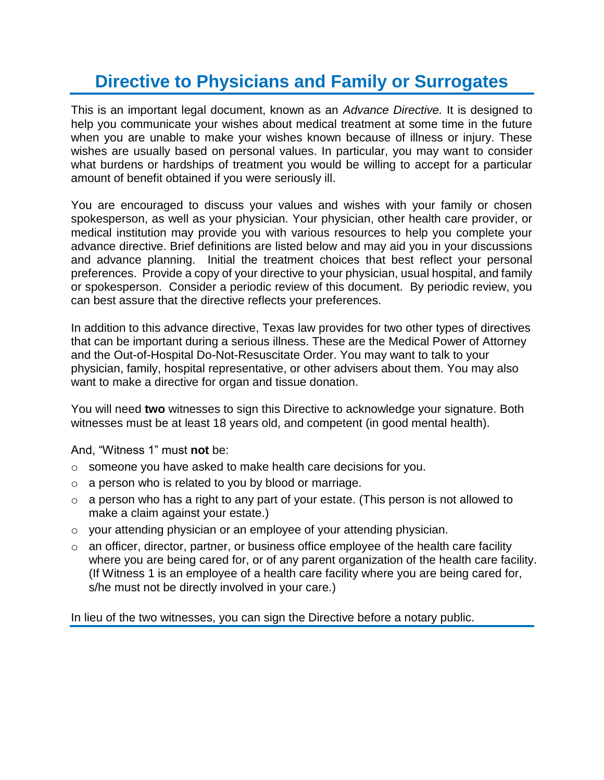## **Directive to Physicians and Family or Surrogates**

This is an important legal document, known as an *Advance Directive.* It is designed to help you communicate your wishes about medical treatment at some time in the future when you are unable to make your wishes known because of illness or injury. These wishes are usually based on personal values. In particular, you may want to consider what burdens or hardships of treatment you would be willing to accept for a particular amount of benefit obtained if you were seriously ill.

You are encouraged to discuss your values and wishes with your family or chosen spokesperson, as well as your physician. Your physician, other health care provider, or medical institution may provide you with various resources to help you complete your advance directive. Brief definitions are listed below and may aid you in your discussions and advance planning. Initial the treatment choices that best reflect your personal preferences. Provide a copy of your directive to your physician, usual hospital, and family or spokesperson. Consider a periodic review of this document. By periodic review, you can best assure that the directive reflects your preferences.

In addition to this advance directive, Texas law provides for two other types of directives that can be important during a serious illness. These are the Medical Power of Attorney and the Out-of-Hospital Do-Not-Resuscitate Order. You may want to talk to your physician, family, hospital representative, or other advisers about them. You may also want to make a directive for organ and tissue donation.

You will need **two** witnesses to sign this Directive to acknowledge your signature. Both witnesses must be at least 18 years old, and competent (in good mental health).

And, "Witness 1" must **not** be:

- o someone you have asked to make health care decisions for you.
- $\circ$  a person who is related to you by blood or marriage.
- $\circ$  a person who has a right to any part of your estate. (This person is not allowed to make a claim against your estate.)
- o your attending physician or an employee of your attending physician.
- $\circ$  an officer, director, partner, or business office employee of the health care facility where you are being cared for, or of any parent organization of the health care facility. (If Witness 1 is an employee of a health care facility where you are being cared for, s/he must not be directly involved in your care.)

In lieu of the two witnesses, you can sign the Directive before a notary public.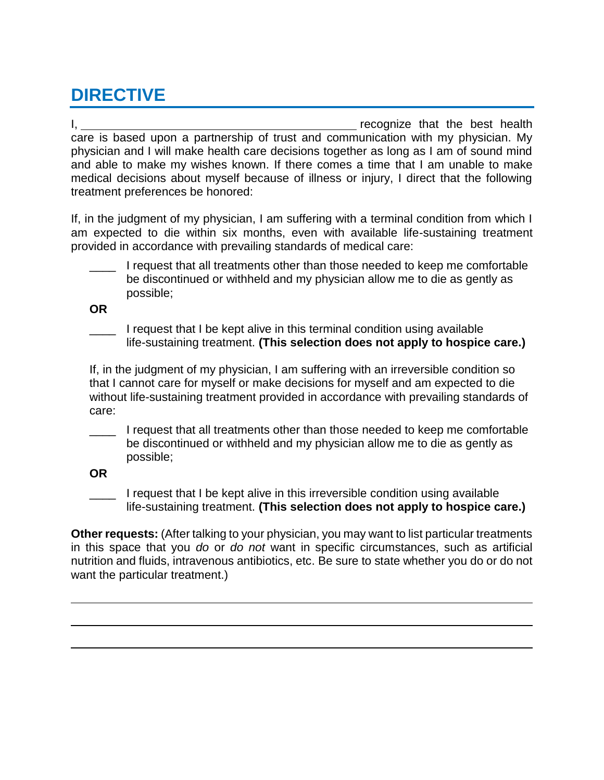## **DIRECTIVE**

I, recognize that the best health care is based upon a partnership of trust and communication with my physician. My physician and I will make health care decisions together as long as I am of sound mind and able to make my wishes known. If there comes a time that I am unable to make medical decisions about myself because of illness or injury, I direct that the following treatment preferences be honored:

If, in the judgment of my physician, I am suffering with a terminal condition from which I am expected to die within six months, even with available life-sustaining treatment provided in accordance with prevailing standards of medical care:

I request that all treatments other than those needed to keep me comfortable be discontinued or withheld and my physician allow me to die as gently as possible;

**OR**

I request that I be kept alive in this terminal condition using available life-sustaining treatment. **(This selection does not apply to hospice care.)**

If, in the judgment of my physician, I am suffering with an irreversible condition so that I cannot care for myself or make decisions for myself and am expected to die without life-sustaining treatment provided in accordance with prevailing standards of care:

I request that all treatments other than those needed to keep me comfortable be discontinued or withheld and my physician allow me to die as gently as possible;

**OR**

I request that I be kept alive in this irreversible condition using available life-sustaining treatment. **(This selection does not apply to hospice care.)**

**Other requests:** (After talking to your physician, you may want to list particular treatments in this space that you *do* or *do not* want in specific circumstances, such as artificial nutrition and fluids, intravenous antibiotics, etc. Be sure to state whether you do or do not want the particular treatment.)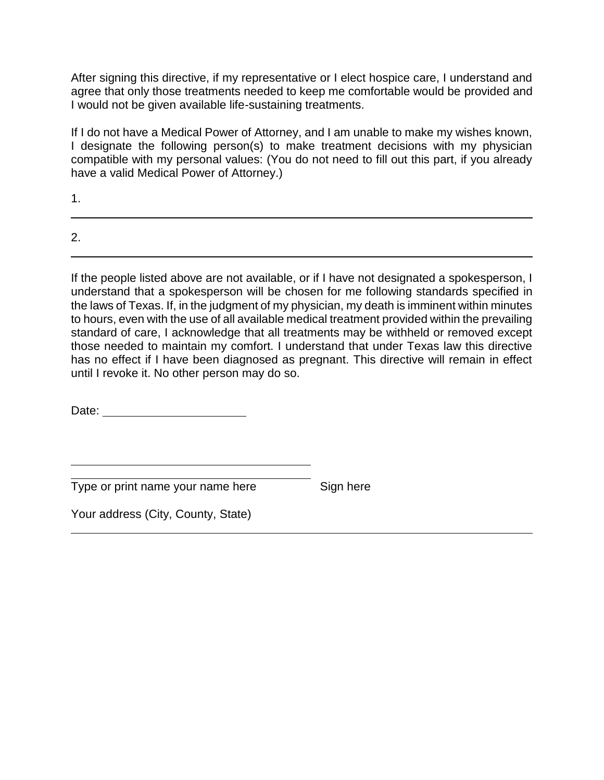After signing this directive, if my representative or I elect hospice care, I understand and agree that only those treatments needed to keep me comfortable would be provided and I would not be given available life-sustaining treatments.

If I do not have a Medical Power of Attorney, and I am unable to make my wishes known, I designate the following person(s) to make treatment decisions with my physician compatible with my personal values: (You do not need to fill out this part, if you already have a valid Medical Power of Attorney.)

1.

2.

If the people listed above are not available, or if I have not designated a spokesperson, I understand that a spokesperson will be chosen for me following standards specified in the laws of Texas. If, in the judgment of my physician, my death is imminent within minutes to hours, even with the use of all available medical treatment provided within the prevailing standard of care, I acknowledge that all treatments may be withheld or removed except those needed to maintain my comfort. I understand that under Texas law this directive has no effect if I have been diagnosed as pregnant. This directive will remain in effect until I revoke it. No other person may do so.

Date: **Date: Date: Date: Date: Date: Date: Date: Date: Date: Date: Date: Date: Date: Date: Date: Date: Date: Date: Date: Date: Date: Date: Date: Date: Date: Date: Date:**

Type or print name your name here Sign here

Your address (City, County, State)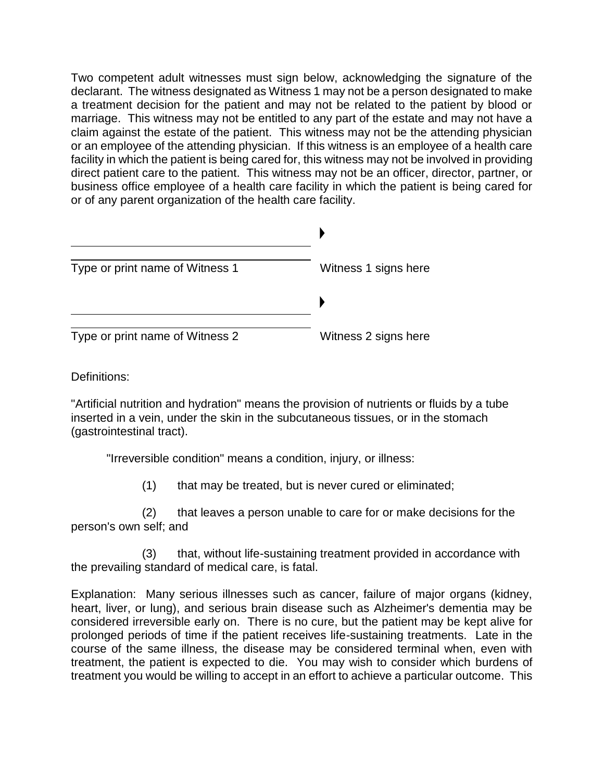Two competent adult witnesses must sign below, acknowledging the signature of the declarant. The witness designated as Witness 1 may not be a person designated to make a treatment decision for the patient and may not be related to the patient by blood or marriage. This witness may not be entitled to any part of the estate and may not have a claim against the estate of the patient. This witness may not be the attending physician or an employee of the attending physician. If this witness is an employee of a health care facility in which the patient is being cared for, this witness may not be involved in providing direct patient care to the patient. This witness may not be an officer, director, partner, or business office employee of a health care facility in which the patient is being cared for or of any parent organization of the health care facility.

| Type or print name of Witness 1 | Witness 1 signs here |  |
|---------------------------------|----------------------|--|
|                                 |                      |  |
| Type or print name of Witness 2 | Witness 2 signs here |  |

Definitions:

"Artificial nutrition and hydration" means the provision of nutrients or fluids by a tube inserted in a vein, under the skin in the subcutaneous tissues, or in the stomach (gastrointestinal tract).

"Irreversible condition" means a condition, injury, or illness:

(1) that may be treated, but is never cured or eliminated;

(2) that leaves a person unable to care for or make decisions for the person's own self; and

(3) that, without life-sustaining treatment provided in accordance with the prevailing standard of medical care, is fatal.

Explanation: Many serious illnesses such as cancer, failure of major organs (kidney, heart, liver, or lung), and serious brain disease such as Alzheimer's dementia may be considered irreversible early on. There is no cure, but the patient may be kept alive for prolonged periods of time if the patient receives life-sustaining treatments. Late in the course of the same illness, the disease may be considered terminal when, even with treatment, the patient is expected to die. You may wish to consider which burdens of treatment you would be willing to accept in an effort to achieve a particular outcome. This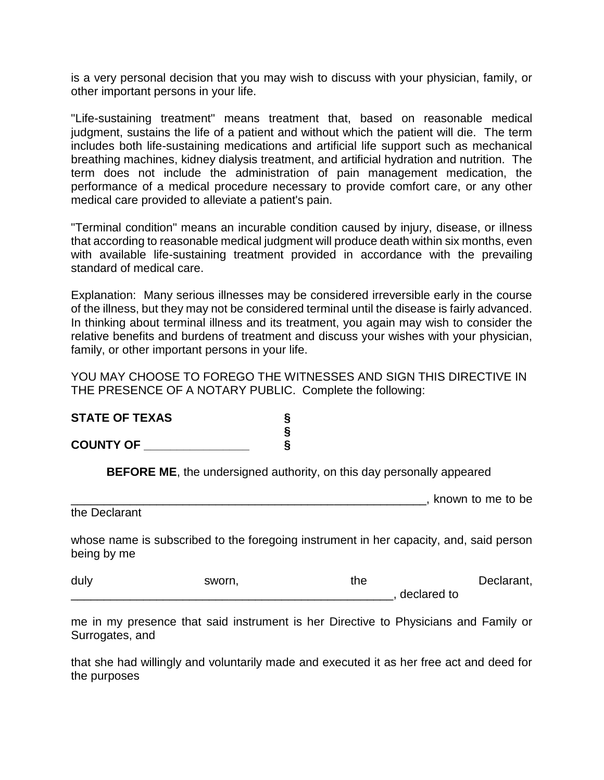is a very personal decision that you may wish to discuss with your physician, family, or other important persons in your life.

"Life-sustaining treatment" means treatment that, based on reasonable medical judgment, sustains the life of a patient and without which the patient will die. The term includes both life-sustaining medications and artificial life support such as mechanical breathing machines, kidney dialysis treatment, and artificial hydration and nutrition. The term does not include the administration of pain management medication, the performance of a medical procedure necessary to provide comfort care, or any other medical care provided to alleviate a patient's pain.

"Terminal condition" means an incurable condition caused by injury, disease, or illness that according to reasonable medical judgment will produce death within six months, even with available life-sustaining treatment provided in accordance with the prevailing standard of medical care.

Explanation: Many serious illnesses may be considered irreversible early in the course of the illness, but they may not be considered terminal until the disease is fairly advanced. In thinking about terminal illness and its treatment, you again may wish to consider the relative benefits and burdens of treatment and discuss your wishes with your physician, family, or other important persons in your life.

YOU MAY CHOOSE TO FOREGO THE WITNESSES AND SIGN THIS DIRECTIVE IN THE PRESENCE OF A NOTARY PUBLIC. Complete the following:

| <b>STATE OF TEXAS</b> |  |
|-----------------------|--|
|                       |  |
| <b>COUNTY OF</b>      |  |

**BEFORE ME**, the undersigned authority, on this day personally appeared

\_\_\_\_\_\_\_\_\_\_\_\_\_\_\_\_\_\_\_\_\_\_\_\_\_\_\_\_\_\_\_\_\_\_\_\_\_\_\_\_\_\_\_\_\_\_\_\_\_\_\_\_\_\_, known to me to be

the Declarant

whose name is subscribed to the foregoing instrument in her capacity, and, said person being by me

| duly | sworn. | the | Declarant,  |
|------|--------|-----|-------------|
|      |        |     | declared to |

me in my presence that said instrument is her Directive to Physicians and Family or Surrogates, and

that she had willingly and voluntarily made and executed it as her free act and deed for the purposes